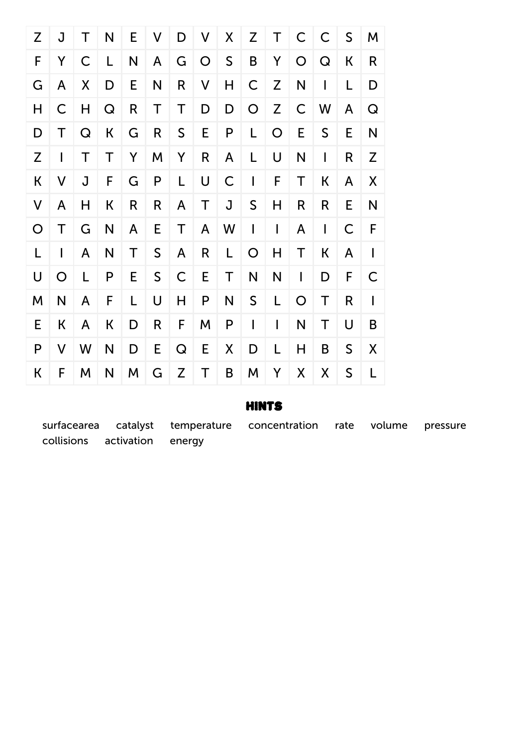

## Hints

surfacearea catalyst temperature concentration rate volume pressure collisions activation energy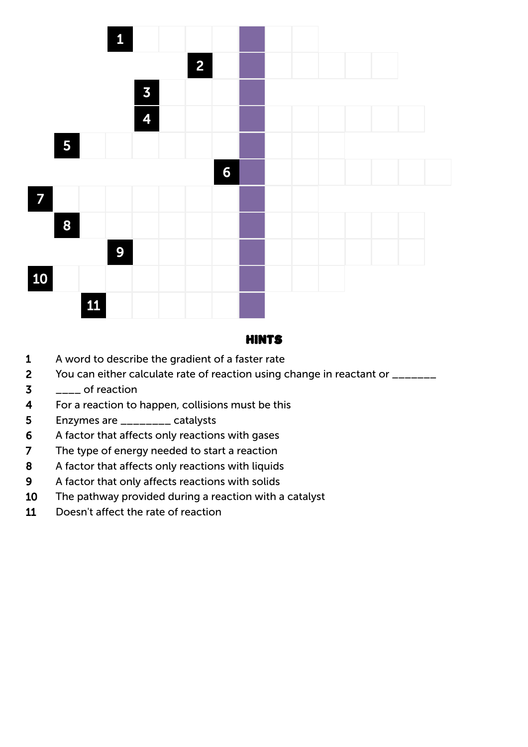

## Hints

- A word to describe the gradient of a faster rate
- 2 You can either calculate rate of reaction using change in reactant or \_\_\_\_\_\_\_
- $3 \quad \quad$  of reaction
- For a reaction to happen, collisions must be this
- Enzymes are \_\_\_\_\_\_\_\_ catalysts
- A factor that affects only reactions with gases
- The type of energy needed to start a reaction
- 8 A factor that affects only reactions with liquids
- A factor that only affects reactions with solids
- The pathway provided during a reaction with a catalyst
- Doesn't affect the rate of reaction